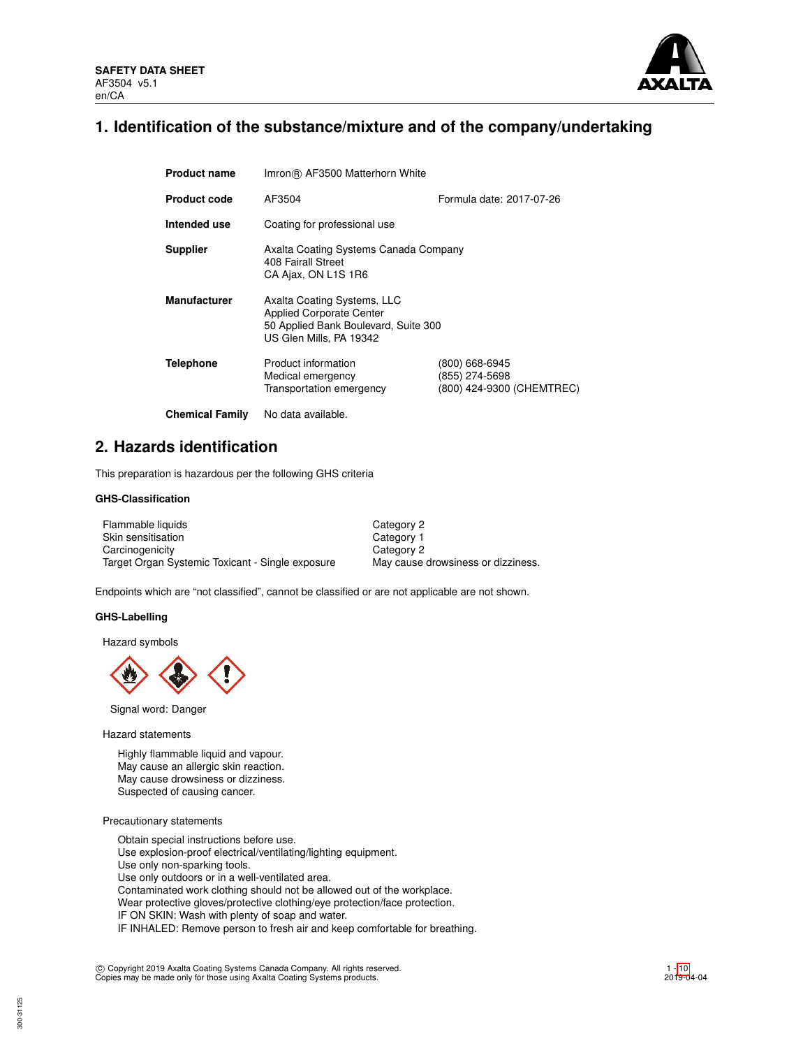

## **1. Identification of the substance/mixture and of the company/undertaking**

| <b>Product name</b>    | Imron® AF3500 Matterhorn White                                                                                                    |                                                               |  |  |  |
|------------------------|-----------------------------------------------------------------------------------------------------------------------------------|---------------------------------------------------------------|--|--|--|
| <b>Product code</b>    | Formula date: 2017-07-26<br>AF3504                                                                                                |                                                               |  |  |  |
| Intended use           | Coating for professional use                                                                                                      |                                                               |  |  |  |
| <b>Supplier</b>        | Axalta Coating Systems Canada Company<br>408 Fairall Street<br>CA Ajax, ON L1S 1R6                                                |                                                               |  |  |  |
| <b>Manufacturer</b>    | Axalta Coating Systems, LLC<br><b>Applied Corporate Center</b><br>50 Applied Bank Boulevard, Suite 300<br>US Glen Mills, PA 19342 |                                                               |  |  |  |
| Telephone              | Product information<br>Medical emergency<br>Transportation emergency                                                              | (800) 668-6945<br>(855) 274-5698<br>(800) 424-9300 (CHEMTREC) |  |  |  |
| <b>Chemical Family</b> | No data available.                                                                                                                |                                                               |  |  |  |

## **2. Hazards identification**

This preparation is hazardous per the following GHS criteria

## **GHS-Classification**

| Flammable liquids                                | Category 2                         |
|--------------------------------------------------|------------------------------------|
| Skin sensitisation                               | Category 1                         |
| Carcinogenicity                                  | Category 2                         |
| Target Organ Systemic Toxicant - Single exposure | May cause drowsiness or dizziness. |

Endpoints which are "not classified", cannot be classified or are not applicable are not shown.

#### **GHS-Labelling**

Hazard symbols



Signal word: Danger

Hazard statements

Highly flammable liquid and vapour. May cause an allergic skin reaction. May cause drowsiness or dizziness. Suspected of causing cancer.

Precautionary statements

Obtain special instructions before use. Use explosion-proof electrical/ventilating/lighting equipment. Use only non-sparking tools. Use only outdoors or in a well-ventilated area. Contaminated work clothing should not be allowed out of the workplace. Wear protective gloves/protective clothing/eye protection/face protection. IF ON SKIN: Wash with plenty of soap and water. IF INHALED: Remove person to fresh air and keep comfortable for breathing.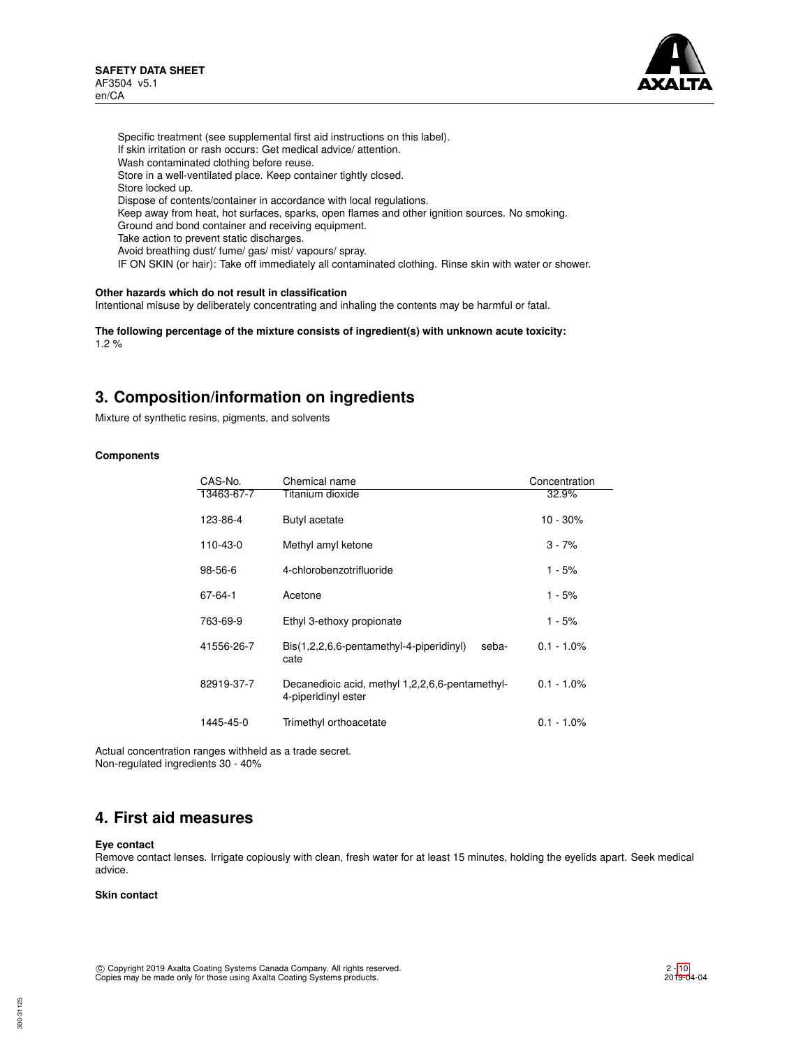

Specific treatment (see supplemental first aid instructions on this label). If skin irritation or rash occurs: Get medical advice/ attention. Wash contaminated clothing before reuse. Store in a well-ventilated place. Keep container tightly closed. Store locked up. Dispose of contents/container in accordance with local regulations. Keep away from heat, hot surfaces, sparks, open flames and other ignition sources. No smoking. Ground and bond container and receiving equipment. Take action to prevent static discharges. Avoid breathing dust/ fume/ gas/ mist/ vapours/ spray. IF ON SKIN (or hair): Take off immediately all contaminated clothing. Rinse skin with water or shower.

## **Other hazards which do not result in classification**

Intentional misuse by deliberately concentrating and inhaling the contents may be harmful or fatal.

**The following percentage of the mixture consists of ingredient(s) with unknown acute toxicity:** 1.2 %

## **3. Composition/information on ingredients**

Mixture of synthetic resins, pigments, and solvents

### **Components**

| CAS-No.       | Chemical name                                                             | Concentration |
|---------------|---------------------------------------------------------------------------|---------------|
| 13463-67-7    | Titanium dioxide                                                          | 32.9%         |
| 123-86-4      | Butyl acetate                                                             | $10 - 30%$    |
| 110-43-0      | Methyl amyl ketone                                                        | $3 - 7%$      |
| $98 - 56 - 6$ | 4-chlorobenzotrifluoride                                                  | 1 - 5%        |
| 67-64-1       | Acetone                                                                   | 1 - 5%        |
| 763-69-9      | Ethyl 3-ethoxy propionate                                                 | 1 - 5%        |
| 41556-26-7    | $\text{Bis}(1,2,2,6,6\text{-}pentamethyl-4-piperidinyl)$<br>seba-<br>cate | $0.1 - 1.0\%$ |
| 82919-37-7    | Decanedioic acid, methyl 1,2,2,6,6-pentamethyl-<br>4-piperidinyl ester    | $0.1 - 1.0\%$ |
| 1445-45-0     | Trimethyl orthoacetate                                                    | $0.1 - 1.0\%$ |

Actual concentration ranges withheld as a trade secret. Non-regulated ingredients 30 - 40%

## **4. First aid measures**

#### **Eye contact**

Remove contact lenses. Irrigate copiously with clean, fresh water for at least 15 minutes, holding the eyelids apart. Seek medical advice.

### **Skin contact**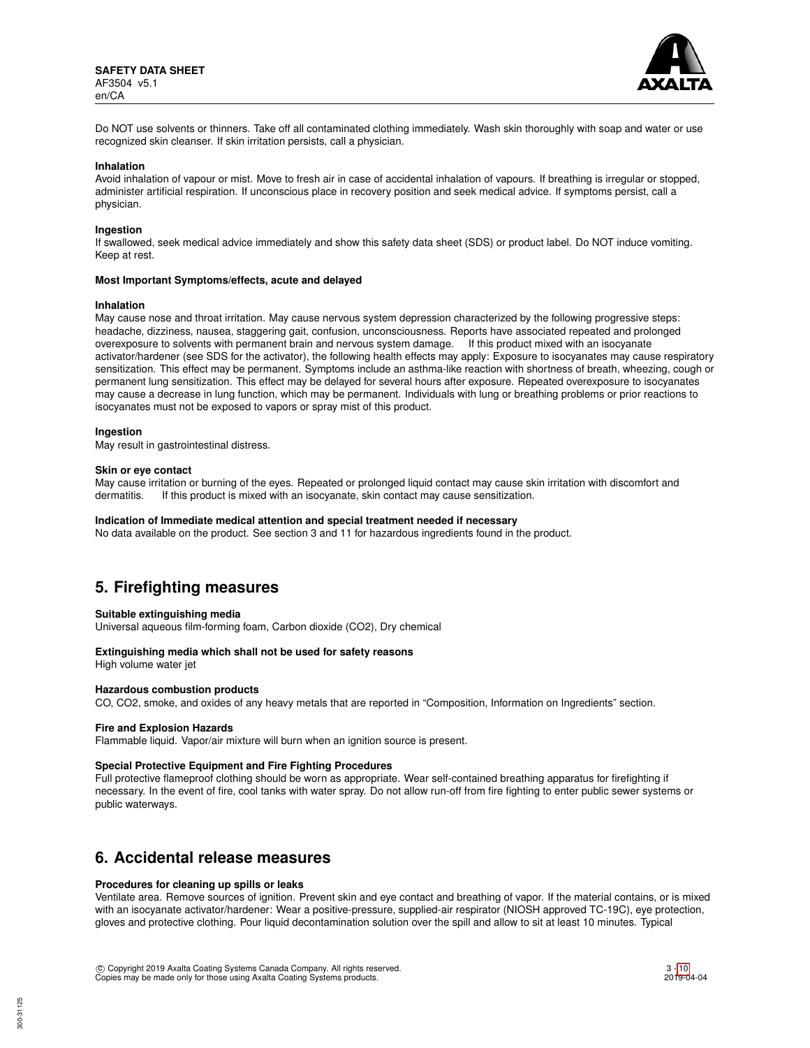

Do NOT use solvents or thinners. Take off all contaminated clothing immediately. Wash skin thoroughly with soap and water or use recognized skin cleanser. If skin irritation persists, call a physician.

#### **Inhalation**

Avoid inhalation of vapour or mist. Move to fresh air in case of accidental inhalation of vapours. If breathing is irregular or stopped, administer artificial respiration. If unconscious place in recovery position and seek medical advice. If symptoms persist, call a physician.

#### **Ingestion**

If swallowed, seek medical advice immediately and show this safety data sheet (SDS) or product label. Do NOT induce vomiting. Keep at rest.

#### **Most Important Symptoms/effects, acute and delayed**

#### **Inhalation**

May cause nose and throat irritation. May cause nervous system depression characterized by the following progressive steps: headache, dizziness, nausea, staggering gait, confusion, unconsciousness. Reports have associated repeated and prolonged overexposure to solvents with permanent brain and nervous system damage. If this product mixed with an isocyanate activator/hardener (see SDS for the activator), the following health effects may apply: Exposure to isocyanates may cause respiratory sensitization. This effect may be permanent. Symptoms include an asthma-like reaction with shortness of breath, wheezing, cough or permanent lung sensitization. This effect may be delayed for several hours after exposure. Repeated overexposure to isocyanates may cause a decrease in lung function, which may be permanent. Individuals with lung or breathing problems or prior reactions to isocyanates must not be exposed to vapors or spray mist of this product.

#### **Ingestion**

May result in gastrointestinal distress.

#### **Skin or eye contact**

May cause irritation or burning of the eyes. Repeated or prolonged liquid contact may cause skin irritation with discomfort and dermatitis. If this product is mixed with an isocyanate, skin contact may cause sensitization.

#### **Indication of Immediate medical attention and special treatment needed if necessary**

No data available on the product. See section 3 and 11 for hazardous ingredients found in the product.

## **5. Firefighting measures**

#### **Suitable extinguishing media**

Universal aqueous film-forming foam, Carbon dioxide (CO2), Dry chemical

## **Extinguishing media which shall not be used for safety reasons**

High volume water jet

## **Hazardous combustion products**

CO, CO2, smoke, and oxides of any heavy metals that are reported in "Composition, Information on Ingredients" section.

#### **Fire and Explosion Hazards**

Flammable liquid. Vapor/air mixture will burn when an ignition source is present.

#### **Special Protective Equipment and Fire Fighting Procedures**

Full protective flameproof clothing should be worn as appropriate. Wear self-contained breathing apparatus for firefighting if necessary. In the event of fire, cool tanks with water spray. Do not allow run-off from fire fighting to enter public sewer systems or public waterways.

## **6. Accidental release measures**

### **Procedures for cleaning up spills or leaks**

Ventilate area. Remove sources of ignition. Prevent skin and eye contact and breathing of vapor. If the material contains, or is mixed with an isocyanate activator/hardener: Wear a positive-pressure, supplied-air respirator (NIOSH approved TC-19C), eye protection, gloves and protective clothing. Pour liquid decontamination solution over the spill and allow to sit at least 10 minutes. Typical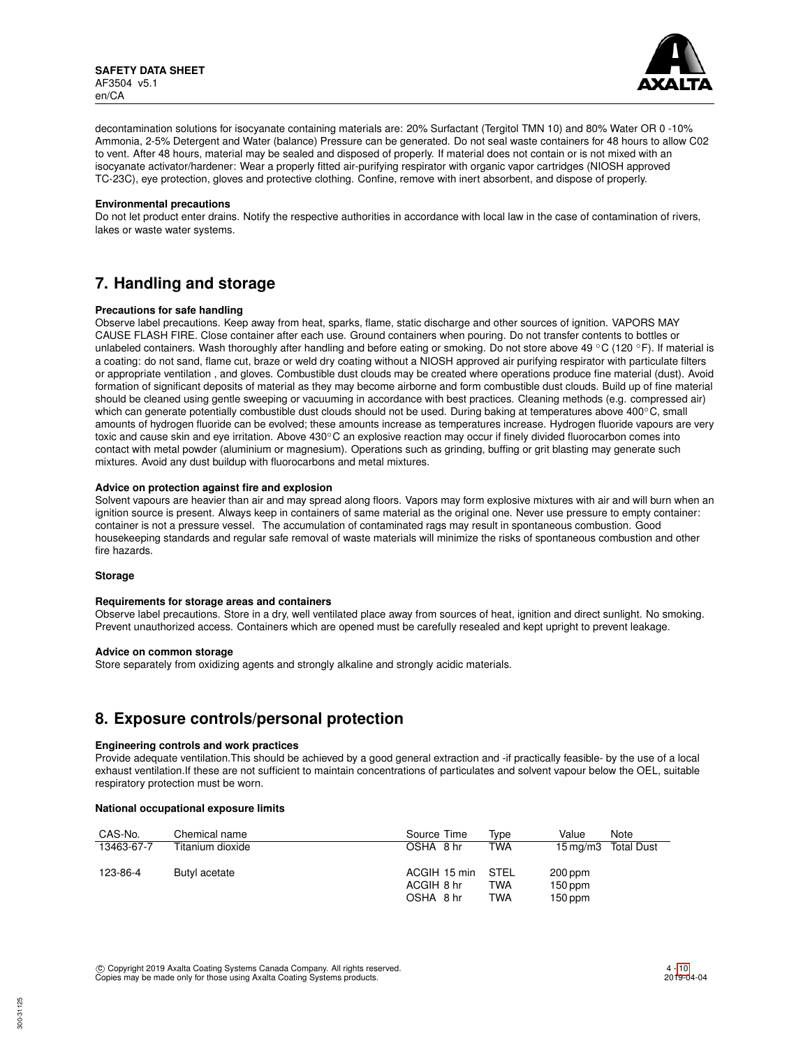

decontamination solutions for isocyanate containing materials are: 20% Surfactant (Tergitol TMN 10) and 80% Water OR 0 -10% Ammonia, 2-5% Detergent and Water (balance) Pressure can be generated. Do not seal waste containers for 48 hours to allow C02 to vent. After 48 hours, material may be sealed and disposed of properly. If material does not contain or is not mixed with an isocyanate activator/hardener: Wear a properly fitted air-purifying respirator with organic vapor cartridges (NIOSH approved TC-23C), eye protection, gloves and protective clothing. Confine, remove with inert absorbent, and dispose of properly.

#### **Environmental precautions**

Do not let product enter drains. Notify the respective authorities in accordance with local law in the case of contamination of rivers, lakes or waste water systems.

## **7. Handling and storage**

## **Precautions for safe handling**

Observe label precautions. Keep away from heat, sparks, flame, static discharge and other sources of ignition. VAPORS MAY CAUSE FLASH FIRE. Close container after each use. Ground containers when pouring. Do not transfer contents to bottles or unlabeled containers. Wash thoroughly after handling and before eating or smoking. Do not store above 49 °C (120 °F). If material is a coating: do not sand, flame cut, braze or weld dry coating without a NIOSH approved air purifying respirator with particulate filters or appropriate ventilation , and gloves. Combustible dust clouds may be created where operations produce fine material (dust). Avoid formation of significant deposits of material as they may become airborne and form combustible dust clouds. Build up of fine material should be cleaned using gentle sweeping or vacuuming in accordance with best practices. Cleaning methods (e.g. compressed air) which can generate potentially combustible dust clouds should not be used. During baking at temperatures above 400℃, small amounts of hydrogen fluoride can be evolved; these amounts increase as temperatures increase. Hydrogen fluoride vapours are very toxic and cause skin and eye irritation. Above 430℃ an explosive reaction may occur if finely divided fluorocarbon comes into contact with metal powder (aluminium or magnesium). Operations such as grinding, buffing or grit blasting may generate such mixtures. Avoid any dust buildup with fluorocarbons and metal mixtures.

## **Advice on protection against fire and explosion**

Solvent vapours are heavier than air and may spread along floors. Vapors may form explosive mixtures with air and will burn when an ignition source is present. Always keep in containers of same material as the original one. Never use pressure to empty container: container is not a pressure vessel. The accumulation of contaminated rags may result in spontaneous combustion. Good housekeeping standards and regular safe removal of waste materials will minimize the risks of spontaneous combustion and other fire hazards.

#### **Storage**

#### **Requirements for storage areas and containers**

Observe label precautions. Store in a dry, well ventilated place away from sources of heat, ignition and direct sunlight. No smoking. Prevent unauthorized access. Containers which are opened must be carefully resealed and kept upright to prevent leakage.

#### **Advice on common storage**

Store separately from oxidizing agents and strongly alkaline and strongly acidic materials.

## **8. Exposure controls/personal protection**

#### **Engineering controls and work practices**

Provide adequate ventilation.This should be achieved by a good general extraction and -if practically feasible- by the use of a local exhaust ventilation.If these are not sufficient to maintain concentrations of particulates and solvent vapour below the OEL, suitable respiratory protection must be worn.

#### **National occupational exposure limits**

| CAS-No.    | Chemical name    | Source Time  | Tvpe       | Value     | Note                |
|------------|------------------|--------------|------------|-----------|---------------------|
| 13463-67-7 | Titanium dioxide | OSHA 8 hr    | <b>TWA</b> |           | 15 mg/m3 Total Dust |
| 123-86-4   | Butyl acetate    | ACGIH 15 min | STEL       | 200 ppm   |                     |
|            |                  | ACGIH 8 hr   | TWA        | $150$ ppm |                     |
|            |                  | OSHA 8 hr    | TWA        | $150$ ppm |                     |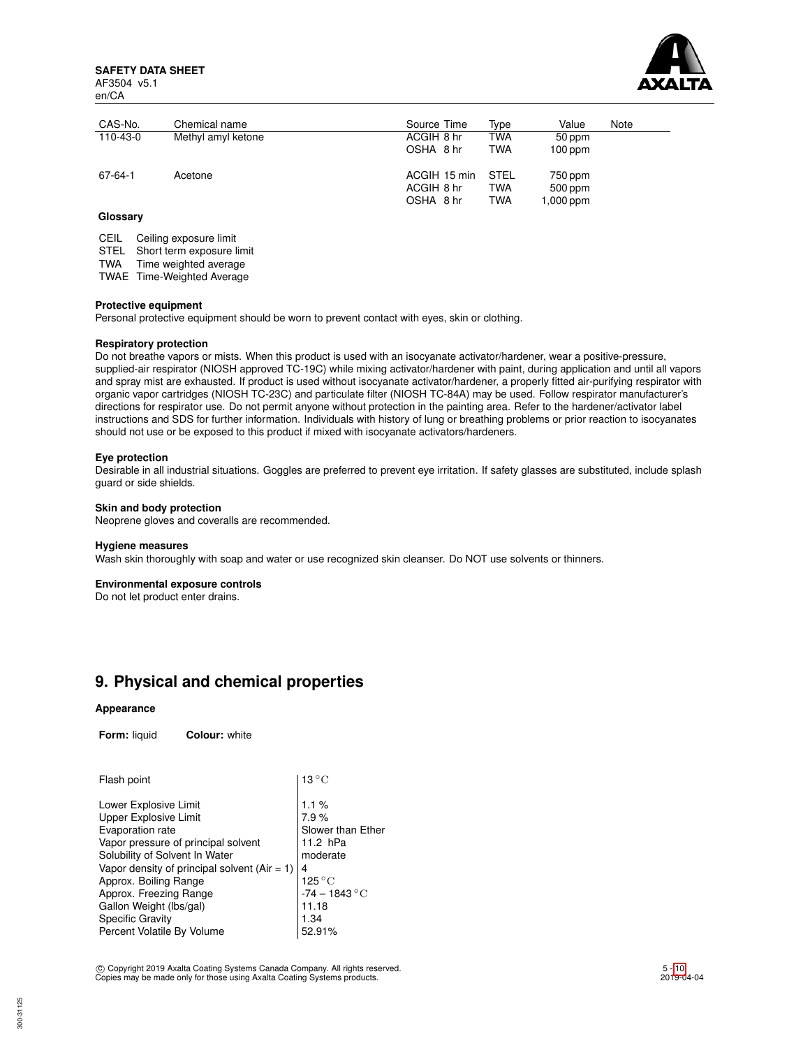**SAFETY DATA SHEET** AF3504 v5.1 en/CA



| CAS-No.  | Chemical name      | Source Time                             | Type                             | Value                           | Note |
|----------|--------------------|-----------------------------------------|----------------------------------|---------------------------------|------|
| 110-43-0 | Methyl amyl ketone | ACGIH 8 hr                              | TWA                              | 50 ppm                          |      |
|          |                    | OSHA 8 hr                               | <b>TWA</b>                       | $100$ ppm                       |      |
| 67-64-1  | Acetone            | ACGIH 15 min<br>ACGIH 8 hr<br>OSHA 8 hr | <b>STEL</b><br>TWA<br><b>TWA</b> | 750 ppm<br>500 ppm<br>1,000 ppm |      |

## **Glossary**

CEIL Ceiling exposure limit

STEL Short term exposure limit

TWA Time weighted average

TWAE Time-Weighted Average

#### **Protective equipment**

Personal protective equipment should be worn to prevent contact with eyes, skin or clothing.

### **Respiratory protection**

Do not breathe vapors or mists. When this product is used with an isocyanate activator/hardener, wear a positive-pressure, supplied-air respirator (NIOSH approved TC-19C) while mixing activator/hardener with paint, during application and until all vapors and spray mist are exhausted. If product is used without isocyanate activator/hardener, a properly fitted air-purifying respirator with organic vapor cartridges (NIOSH TC-23C) and particulate filter (NIOSH TC-84A) may be used. Follow respirator manufacturer's directions for respirator use. Do not permit anyone without protection in the painting area. Refer to the hardener/activator label instructions and SDS for further information. Individuals with history of lung or breathing problems or prior reaction to isocyanates should not use or be exposed to this product if mixed with isocyanate activators/hardeners.

#### **Eye protection**

Desirable in all industrial situations. Goggles are preferred to prevent eye irritation. If safety glasses are substituted, include splash guard or side shields.

## **Skin and body protection**

Neoprene gloves and coveralls are recommended.

#### **Hygiene measures**

Wash skin thoroughly with soap and water or use recognized skin cleanser. Do NOT use solvents or thinners.

#### **Environmental exposure controls**

Do not let product enter drains.

## **9. Physical and chemical properties**

#### **Appearance**

**Form:** liquid **Colour:** white

| Flash point                                                                                                                                                                                                                                                                                                                            | $13^{\circ}$ C                                                                                                                            |
|----------------------------------------------------------------------------------------------------------------------------------------------------------------------------------------------------------------------------------------------------------------------------------------------------------------------------------------|-------------------------------------------------------------------------------------------------------------------------------------------|
| Lower Explosive Limit<br>Upper Explosive Limit<br>Evaporation rate<br>Vapor pressure of principal solvent<br>Solubility of Solvent In Water<br>Vapor density of principal solvent ( $Air = 1$ )<br>Approx. Boiling Range<br>Approx. Freezing Range<br>Gallon Weight (lbs/gal)<br><b>Specific Gravity</b><br>Percent Volatile By Volume | 1.1%<br>7.9%<br>Slower than Ether<br>11.2 hPa<br>moderate<br>4<br>$125\,^{\circ}\mathrm{C}$<br>$-74 - 1843$ °C<br>11.18<br>1.34<br>52.91% |
|                                                                                                                                                                                                                                                                                                                                        |                                                                                                                                           |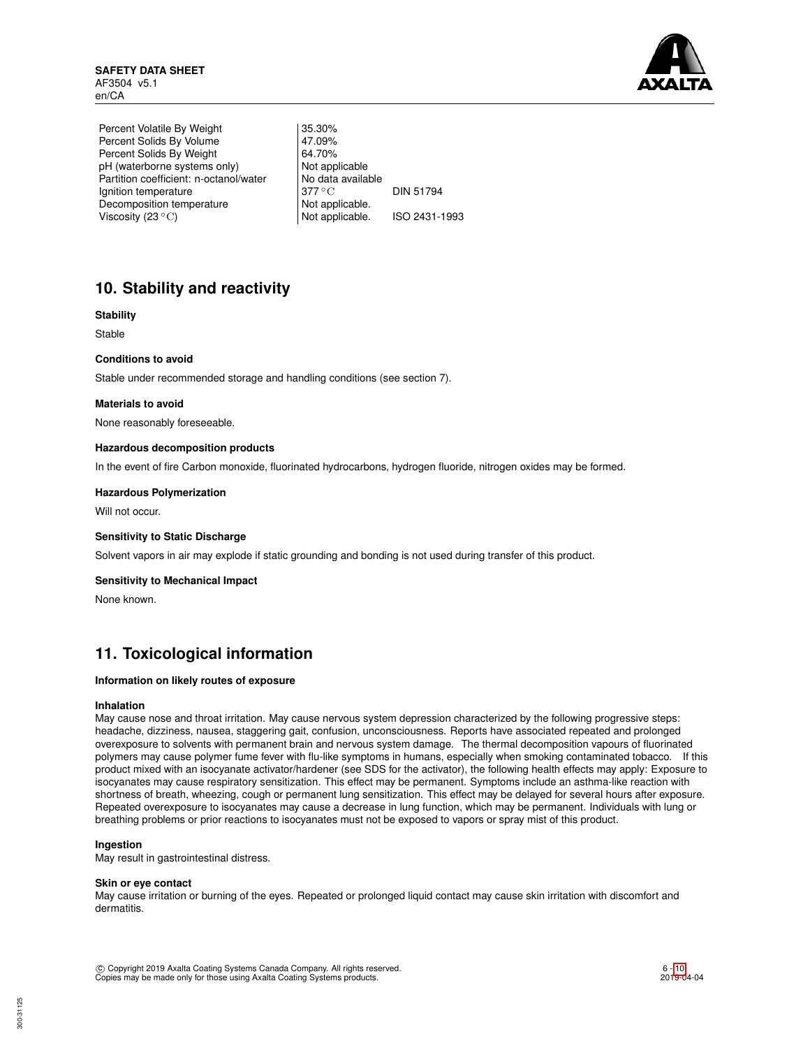

Percent Volatile By Weight | 35.30% Percent Solids By Volume 47.09%<br>Percent Solids By Weight 64.70% Percent Solids By Weight 64.70%<br>
pH (waterborne systems only) Not applicable pH (waterborne systems only) Partition coefficient: n-octanol/water | No data available Ignition temperature 377 °C DIN 51794 Decomposition temperature Not applicable.<br>Viscosity (23 °C) Not applicable. Viscosity  $(23 °C)$  Not applicable. ISO 2431-1993

# **10. Stability and reactivity**

## **Stability**

Stable

## **Conditions to avoid**

Stable under recommended storage and handling conditions (see section 7).

### **Materials to avoid**

None reasonably foreseeable.

### **Hazardous decomposition products**

In the event of fire Carbon monoxide, fluorinated hydrocarbons, hydrogen fluoride, nitrogen oxides may be formed.

### **Hazardous Polymerization**

Will not occur.

#### **Sensitivity to Static Discharge**

Solvent vapors in air may explode if static grounding and bonding is not used during transfer of this product.

#### **Sensitivity to Mechanical Impact**

None known.

## **11. Toxicological information**

### **Information on likely routes of exposure**

### **Inhalation**

May cause nose and throat irritation. May cause nervous system depression characterized by the following progressive steps: headache, dizziness, nausea, staggering gait, confusion, unconsciousness. Reports have associated repeated and prolonged overexposure to solvents with permanent brain and nervous system damage. The thermal decomposition vapours of fluorinated polymers may cause polymer fume fever with flu-like symptoms in humans, especially when smoking contaminated tobacco. If this product mixed with an isocyanate activator/hardener (see SDS for the activator), the following health effects may apply: Exposure to isocyanates may cause respiratory sensitization. This effect may be permanent. Symptoms include an asthma-like reaction with shortness of breath, wheezing, cough or permanent lung sensitization. This effect may be delayed for several hours after exposure. Repeated overexposure to isocyanates may cause a decrease in lung function, which may be permanent. Individuals with lung or breathing problems or prior reactions to isocyanates must not be exposed to vapors or spray mist of this product.

### **Ingestion**

May result in gastrointestinal distress.

#### **Skin or eye contact**

May cause irritation or burning of the eyes. Repeated or prolonged liquid contact may cause skin irritation with discomfort and dermatitis.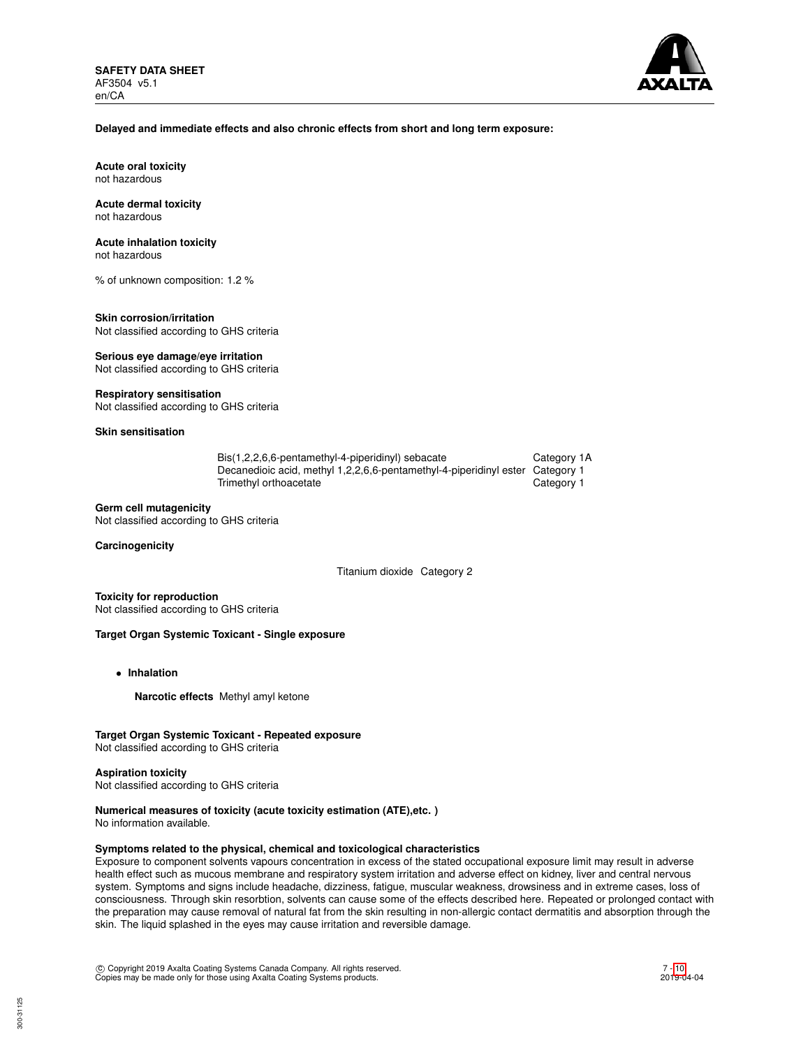

### **Delayed and immediate effects and also chronic effects from short and long term exposure:**

**Acute oral toxicity** not hazardous

#### **Acute dermal toxicity** not hazardous

## **Acute inhalation toxicity**

not hazardous

% of unknown composition: 1.2 %

#### **Skin corrosion/irritation** Not classified according to GHS criteria

**Serious eye damage/eye irritation**

Not classified according to GHS criteria

## **Respiratory sensitisation**

Not classified according to GHS criteria

## **Skin sensitisation**

| Bis(1,2,2,6,6-pentamethyl-4-piperidinyl) sebacate                             | Category 1A |
|-------------------------------------------------------------------------------|-------------|
| Decanedioic acid, methyl 1,2,2,6,6-pentamethyl-4-piperidinyl ester Category 1 |             |
| Trimethyl orthoacetate                                                        | Category 1  |

### **Germ cell mutagenicity**

Not classified according to GHS criteria

### **Carcinogenicity**

Titanium dioxide Category 2

**Toxicity for reproduction** Not classified according to GHS criteria

## **Target Organ Systemic Toxicant - Single exposure**

- **Inhalation**
	- **Narcotic effects** Methyl amyl ketone

## **Target Organ Systemic Toxicant - Repeated exposure**

Not classified according to GHS criteria

#### **Aspiration toxicity**

Not classified according to GHS criteria

## **Numerical measures of toxicity (acute toxicity estimation (ATE),etc. )**

No information available.

## **Symptoms related to the physical, chemical and toxicological characteristics**

Exposure to component solvents vapours concentration in excess of the stated occupational exposure limit may result in adverse health effect such as mucous membrane and respiratory system irritation and adverse effect on kidney, liver and central nervous system. Symptoms and signs include headache, dizziness, fatigue, muscular weakness, drowsiness and in extreme cases, loss of consciousness. Through skin resorbtion, solvents can cause some of the effects described here. Repeated or prolonged contact with the preparation may cause removal of natural fat from the skin resulting in non-allergic contact dermatitis and absorption through the skin. The liquid splashed in the eyes may cause irritation and reversible damage.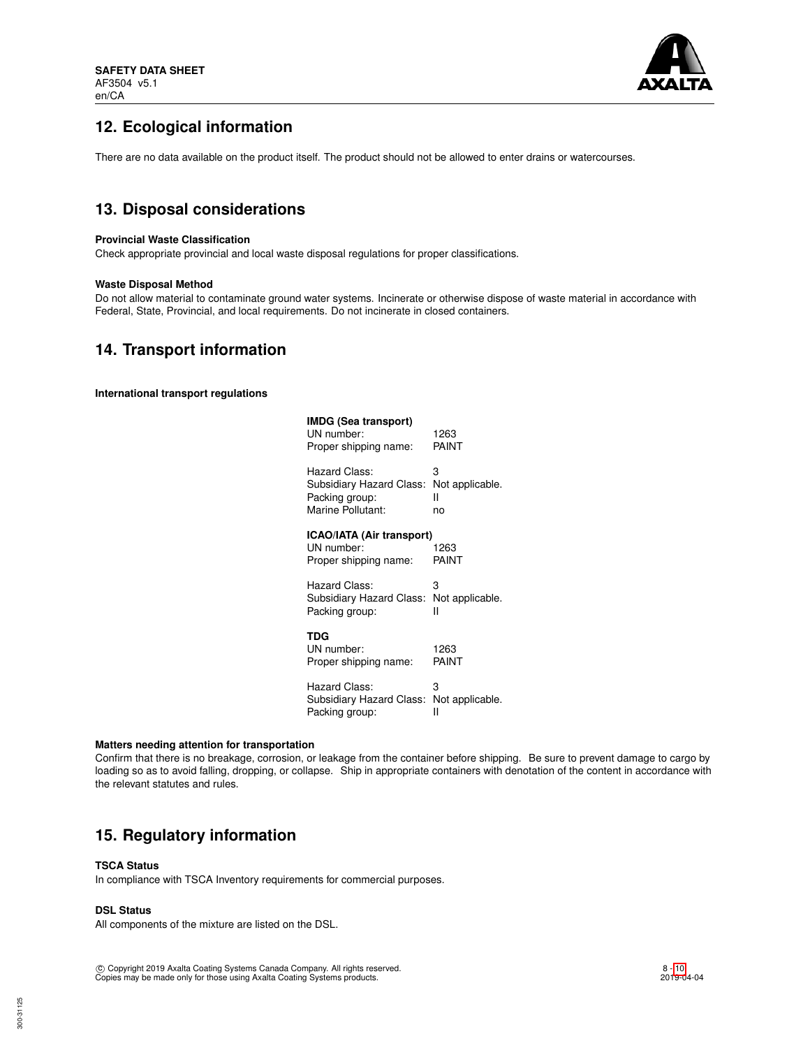

# **12. Ecological information**

There are no data available on the product itself. The product should not be allowed to enter drains or watercourses.

# **13. Disposal considerations**

## **Provincial Waste Classification**

Check appropriate provincial and local waste disposal regulations for proper classifications.

## **Waste Disposal Method**

Do not allow material to contaminate ground water systems. Incinerate or otherwise dispose of waste material in accordance with Federal, State, Provincial, and local requirements. Do not incinerate in closed containers.

## **14. Transport information**

**International transport regulations**

| IMDG (Sea transport)<br>UN number:<br>Proper shipping name:      | 1263<br>PAINT   |
|------------------------------------------------------------------|-----------------|
| Hazard Class:                                                    | 3               |
| Subsidiary Hazard Class:                                         | Not applicable. |
| Packing group:                                                   | н               |
| Marine Pollutant:                                                | no              |
| ICAO/IATA (Air transport)<br>UN number:<br>Proper shipping name: | 1263<br>PAINT   |
| Hazard Class:                                                    | 3               |
| Subsidiary Hazard Class:                                         | Not applicable. |
| Packing group:                                                   | н               |
| TDG<br>UN number:<br>Proper shipping name:                       | 1263<br>PAINT   |
| Hazard Class:                                                    | 3               |
| Subsidiary Hazard Class:                                         | Not applicable. |
| Packing group:                                                   | н               |

#### **Matters needing attention for transportation**

Confirm that there is no breakage, corrosion, or leakage from the container before shipping. Be sure to prevent damage to cargo by loading so as to avoid falling, dropping, or collapse. Ship in appropriate containers with denotation of the content in accordance with the relevant statutes and rules.

## **15. Regulatory information**

## **TSCA Status**

In compliance with TSCA Inventory requirements for commercial purposes.

## **DSL Status**

All components of the mixture are listed on the DSL.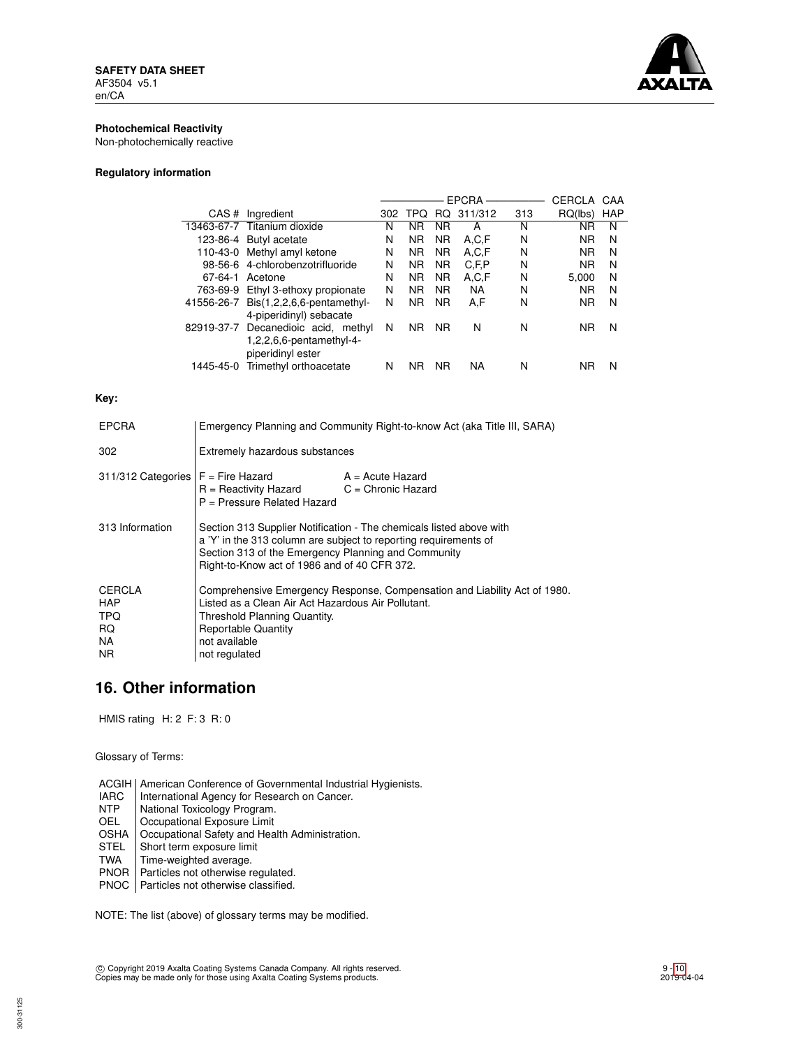

## **Photochemical Reactivity**

Non-photochemically reactive

## **Regulatory information**

|            |                                     |     |                |           | <b>EPCRA</b> |     | CERCLA    | CAA        |
|------------|-------------------------------------|-----|----------------|-----------|--------------|-----|-----------|------------|
| CAS#       | Ingredient                          | 302 | TPO            | RQ.       | 311/312      | 313 | RQ(lbs)   | <b>HAP</b> |
|            | 13463-67-7 Titanium dioxide         | N   | ΝR             | <b>NR</b> | А            | N   | ΝR        | N          |
|            | 123-86-4 Butyl acetate              | N   | <b>NR</b>      | <b>NR</b> | A.C.F        | N   | <b>NR</b> | N          |
| 110-43-0   | Methyl amyl ketone                  | N   | <b>NR</b>      | <b>NR</b> | A,C,F        | N   | <b>NR</b> | N          |
|            | 98-56-6 4-chlorobenzotrifluoride    | N   | <b>NR</b>      | <b>NR</b> | C, F, P      | N   | <b>NR</b> | N          |
| 67-64-1    | Acetone                             | N   | <b>NR</b>      | <b>NR</b> | A,C,F        | N   | 5.000     | N          |
| 763-69-9   | Ethyl 3-ethoxy propionate           | N   | N <sub>R</sub> | <b>NR</b> | <b>NA</b>    | N   | <b>NR</b> | N          |
| 41556-26-7 | $Dis(1,2,2,6,6\text{-pentamethyl-}$ | N   | <b>NR</b>      | <b>NR</b> | A.F          | N   | <b>NR</b> | N          |
|            | 4-piperidinyl) sebacate             |     |                |           |              |     |           |            |
| 82919-37-7 | Decanedioic acid, methyl            | N   | <b>NR</b>      | <b>NR</b> | N            | N   | <b>NR</b> | N          |
|            | $1,2,2,6,6$ -pentamethyl-4-         |     |                |           |              |     |           |            |
|            | piperidinyl ester                   |     |                |           |              |     |           |            |
| 1445-45-0  | Trimethyl orthoacetate              | N   | ΝR             | <b>NR</b> | NA           | N   | ΝR        | N          |
|            |                                     |     |                |           |              |     |           |            |

## **Key:**

| <b>EPCRA</b>                               | Emergency Planning and Community Right-to-know Act (aka Title III, SARA)                                                                                                                                                                       |  |  |  |
|--------------------------------------------|------------------------------------------------------------------------------------------------------------------------------------------------------------------------------------------------------------------------------------------------|--|--|--|
| 302                                        | Extremely hazardous substances                                                                                                                                                                                                                 |  |  |  |
| $311/312$ Categories $F =$ Fire Hazard     | $A = Acute$ Hazard<br>$R =$ Reactivity Hazard $C =$ Chronic Hazard<br>P = Pressure Related Hazard                                                                                                                                              |  |  |  |
| 313 Information                            | Section 313 Supplier Notification - The chemicals listed above with<br>a 'Y' in the 313 column are subject to reporting requirements of<br>Section 313 of the Emergency Planning and Community<br>Right-to-Know act of 1986 and of 40 CFR 372. |  |  |  |
| CERCLA<br>HAP<br>TPQ.<br>RQ.<br>NA.<br>NR. | Comprehensive Emergency Response, Compensation and Liability Act of 1980.<br>Listed as a Clean Air Act Hazardous Air Pollutant.<br>Threshold Planning Quantity.<br><b>Reportable Quantity</b><br>not available<br>not regulated                |  |  |  |

# **16. Other information**

HMIS rating H: 2 F: 3 R: 0

Glossary of Terms:

ACGIH | American Conference of Governmental Industrial Hygienists.<br>
IARC | International Agency for Research on Cancer.

- IARC | International Agency for Research on Cancer.<br>
NTP | National Toxicology Program.
- NTP National Toxicology Program.<br>OEL Cocupational Exposure Limit
- Occupational Exposure Limit

OSHA | Occupational Safety and Health Administration.<br>STEL | Short term exposure limit

- STEL Short term exposure limit<br>TWA Time-weighted average.
- Time-weighted average.
- PNOR Particles not otherwise regulated.

PNOC Particles not otherwise classified.

NOTE: The list (above) of glossary terms may be modified.